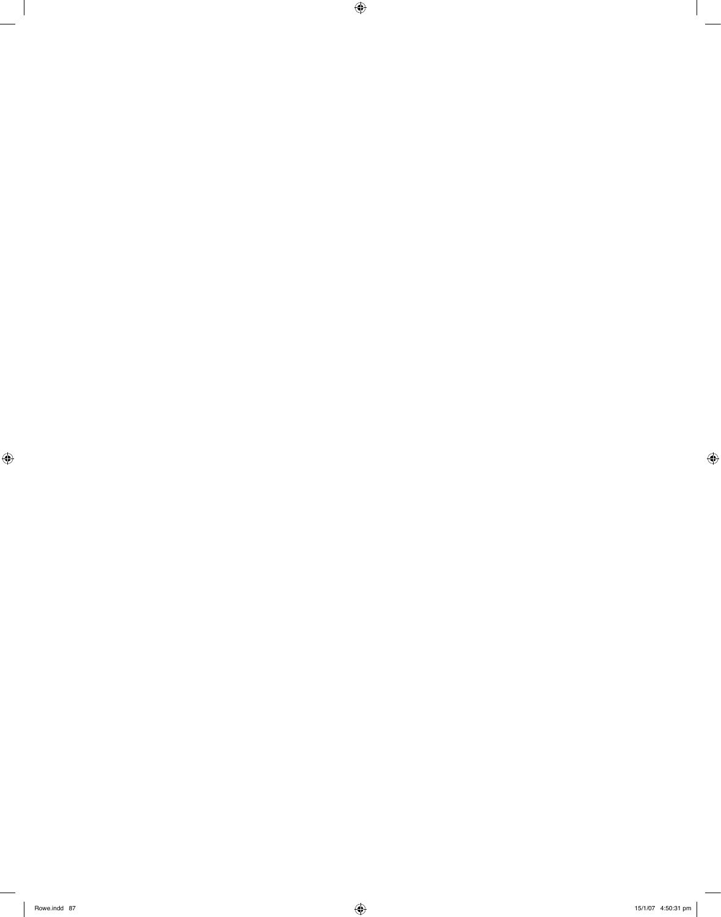$\overline{\phantom{0}}$ 

 $\bigoplus$ 

 $\begin{array}{c} \hline \end{array}$  $\overline{a}$ 

 $\bigoplus$ 

 $\bigoplus$